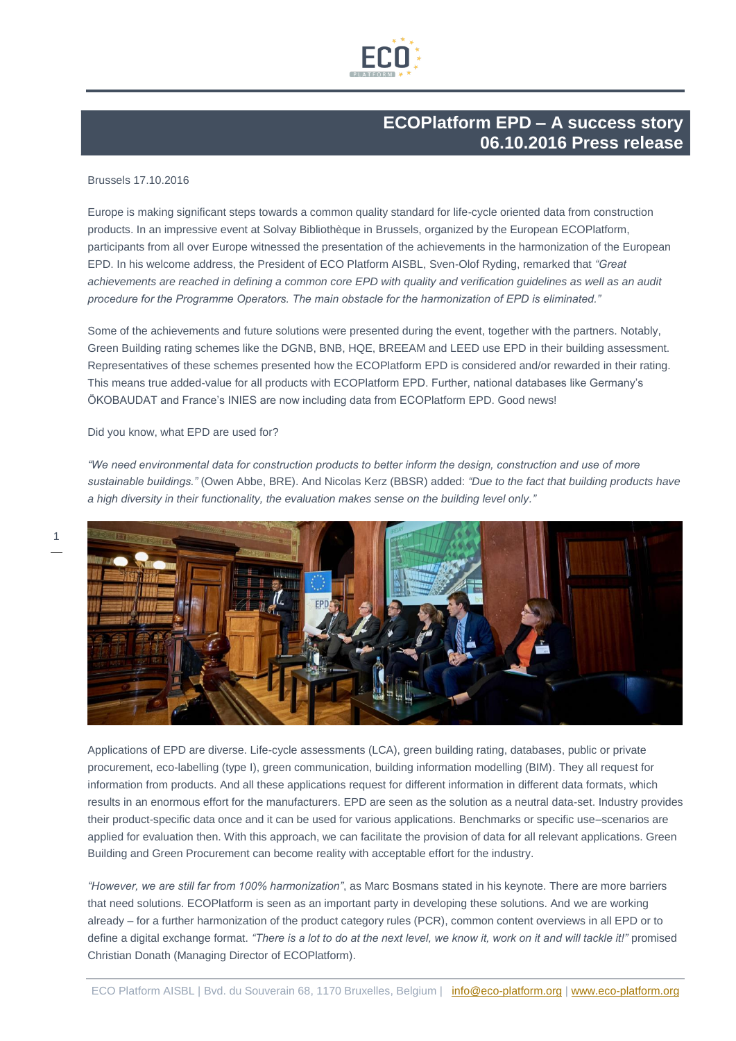

## **ECOPlatform EPD – A success story 06.10.2016 Press release**

## Brussels 17.10.2016

Europe is making significant steps towards a common quality standard for life-cycle oriented data from construction products. In an impressive event at Solvay Bibliothèque in Brussels, organized by the European ECOPlatform, participants from all over Europe witnessed the presentation of the achievements in the harmonization of the European EPD. In his welcome address, the President of ECO Platform AISBL, Sven-Olof Ryding, remarked that *"Great*  achievements are reached in defining a common core EPD with quality and verification guidelines as well as an audit *procedure for the Programme Operators. The main obstacle for the harmonization of EPD is eliminated."*

Some of the achievements and future solutions were presented during the event, together with the partners. Notably, Green Building rating schemes like the DGNB, BNB, HQE, BREEAM and LEED use EPD in their building assessment. Representatives of these schemes presented how the ECOPlatform EPD is considered and/or rewarded in their rating. This means true added-value for all products with ECOPlatform EPD. Further, national databases like Germany's ÖKOBAUDAT and France's INIES are now including data from ECOPlatform EPD. Good news!

## Did you know, what EPD are used for?

1

*"We need environmental data for construction products to better inform the design, construction and use of more sustainable buildings."* (Owen Abbe, BRE). And Nicolas Kerz (BBSR) added: *"Due to the fact that building products have a high diversity in their functionality, the evaluation makes sense on the building level only."*



Applications of EPD are diverse. Life-cycle assessments (LCA), green building rating, databases, public or private procurement, eco-labelling (type I), green communication, building information modelling (BIM). They all request for information from products. And all these applications request for different information in different data formats, which results in an enormous effort for the manufacturers. EPD are seen as the solution as a neutral data-set. Industry provides their product-specific data once and it can be used for various applications. Benchmarks or specific use–scenarios are applied for evaluation then. With this approach, we can facilitate the provision of data for all relevant applications. Green Building and Green Procurement can become reality with acceptable effort for the industry.

*"However, we are still far from 100% harmonization"*, as Marc Bosmans stated in his keynote. There are more barriers that need solutions. ECOPlatform is seen as an important party in developing these solutions. And we are working already – for a further harmonization of the product category rules (PCR), common content overviews in all EPD or to define a digital exchange format. *"There is a lot to do at the next level, we know it, work on it and will tackle it!"* promised Christian Donath (Managing Director of ECOPlatform).